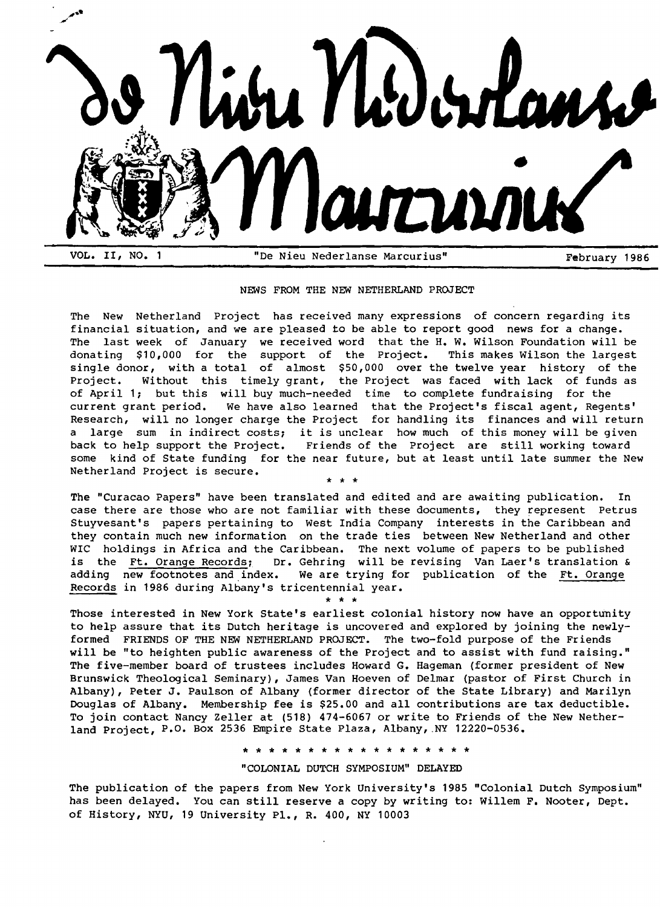

## NEWS FROM THE NEW NETHERLAND PROJECT

The New Netherland Project has received many expressions of concern regarding its financial situation, and we are pleased to be able to report good news for a change. The last week of January we received word that the H.W. Wilson Foundation will be<br>donating \$10,000 for the support of the Project. This makes Wilson the largest donating \$10,000 for the support of the Project. single donor, with a total of almost \$50,000 over the twelve year history of the Project. Without this timely grant, the Project was faced with lack of funds as of April 1; but this will buy much-needed time to complete fundraising for the current grant period. We have also learned that the Project's fiscal agent, Regents' Research, will no longer charge the Project for handling its finances and will return a large sum in indirect costs; it is unclear how much of this money will be given back to help support the Project. Friends of the project are still working toward some kind of State funding for the near future, but at least until late summer the New Netherland Project is secure. \* \* \*

The "Curacao Papers" have been translated and edited and are awaiting publication. In case there are those who are not familiar with these documents, they represent Petrus Stuyvesant's papers pertaining to West India Company interests in the Caribbean and they contain much new information on the trade ties between New Netherland and other WIC holdings in Africa and the Caribbean. The next volume of papers to be published is the Ft. Orange Records; Dr. Gehring will be revising Van Laer's translation & adding new footnotes and index. We are trying for publication of the Ft. Orange Records in 1986 during Albany's tricentennial year.

\* \* \*

Those interested in New York State's earliest colonial history now have an opportunity to help assure that its Dutch heritage is uncovered and explored by joining the newlyformed FRIENDS OF THE NEW NETHERLAND PROJECT. The two-fold purpose of the Friends will be "to heighten public awareness of the Project and to assist with fund raising." The five-member board of trustees includes Howard G. Hageman (former president of New Brunswick Theological Seminary), James Van Hoeven of Delmar (pastor of First Church in Albany), Peter J. Paulson of Albany (former director of the State Library) and Marilyn Douglas of Albany. Membership fee is \$25.00 and all contributions are tax deductible. To join contact Nancy Zeller at (518) 474-6067 or write to Friends of the New Netherland Project, P.O. Box 2536 Empire State Plaza, Albany,.NY 12220-0536.

\* \* \* \* \* \* \* \* \* \* \* \* \* \* \* \* \* \*

#### "COLONIAL DUTCH SYMPOSIUM" DELAYED

The publication of the papers from New York University's 1985 "Colonial Dutch Symposium" has been delayed. You can still reserve a copy by writing to: Willem F. Nooter, Dept. of History, NYU, 19 University Pl., R. 400, NY 10003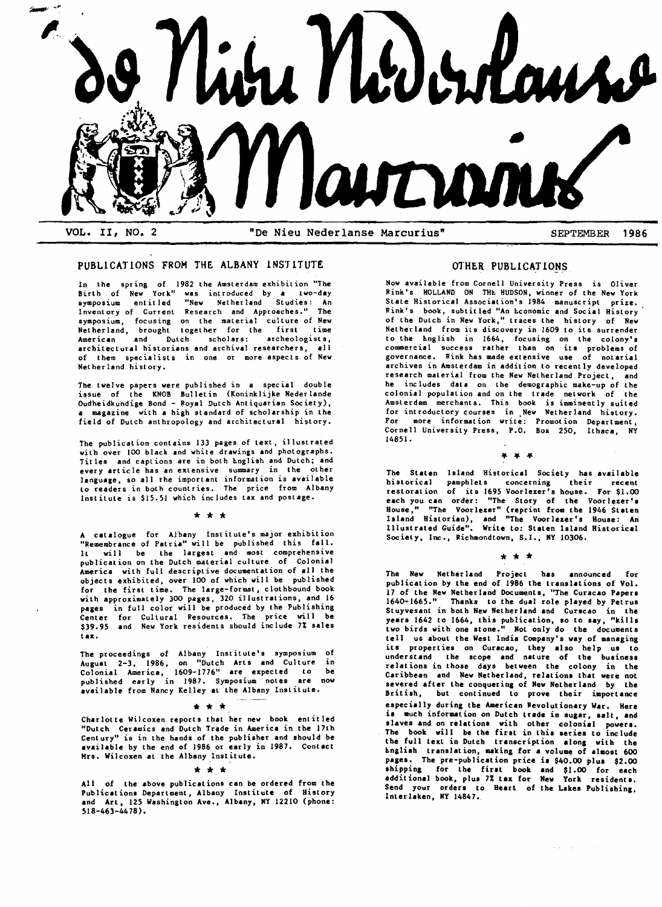

# PUBLICATIONS FROM THE ALBANY INSTITUTE

In the spring of 1982 the Amsterdam exhibit ion "The Birth of New York" was introduced by a two-day symposium entitled "New Netherland Studies: An Invent ory of Current Research and Approaches." The symposium, focusing on the material culture of New Netherland, brought together for the first time American and Dutch scholars: archeologists, architectural historians and archival researchers, all of them specialists in one or more aspects of New Netherland history.

The twelve papers were published in a special double issue of the KNOB Bulletin (Koninklijke Nederlande Oudheidkundige Bond - Royal Dutch Antiquarian Society), a magazine with a high standard of scholarship in the field of Dutch anthropology and architectural history.

The publication contains 133 pages of text, illustrated with over 100 black and white drawings and photographs. Titles and captions are in both English and Dutch; and every article has an extensive summary in the other language, so all the important information is available to readers in both countries. The price from Albany Institute is \$15.51 which includes tax and postage.

#### \* \* \*

A catalogue for Albany institute's major exhibition "Remembrance of Patria" will be published this fall. It will be the largest and most comprehensive publication on the Dutch material culture. of Colonial America with full descriptive documentation of all the objects exhibited, over 100 of which will be published for the first time. The large-format, clothbound book with approximately 300 pages, 320 illustrations, and 16 pages in full color will be produced by the Publishing Center for Cultural Resources. The price will be \$39.95 and New York residents should include 7% sales tax.

The proceedings of Albany Institute's symposium of August 2-3, 1986, on "Dutch Arts and Culture in Colonial America, 1609-1776" are expected to be published early in 1987. Symposium notes are now available from Nancy Kelley at the Albany Institute.

 $\star \star \star$ <br>Charlotte Wilcoxen reports that her new book entitled "Dutch Ceramics and Dutch Trade in America in the 17th Century" is in the hands of the publisher and should be available by the end of 1986 or early in 1987. Contact Mrs. Wilcoxen at the Albany Institute.

 $* * *$ <br>All of the above publications can be ordered from the Publications Department, Albany Institute of History and Art. 125 Washington Ave., Albany, NY 12210 (phone: 518-463-44 78).

## OTHER PUBLICATIONS

Now available from Cornell University Press is Oliver Rink's HOLLAND ON THE HUDSON, winner of the New York State Historical Association's 1984 manuscript prize. Rink's book, subtitled "An Economic and Social History of the Dutch in New York," traces the history of New Netherland from its discovery in 1609 to its surrender to the Lnglish in 1664, focusing on the colony's<br>commercial success rather than on its problems of governance. Rink has made extensive use of notarial archives in Amsterdam in addition to recently developed research material from the New Netherland Project, and he includes data on the demographic make-up of the colonial population and on the trade network of the Amsterdam merchants. This book is imminently suited for introductory courses in New Netherland history.<br>For more information write: Promotion Department. more information write: Promotion Department, Cornell University Press, P.O. Box 250, Ithaca, NY 14851.

.. .. ..

The Staten Island Historical Society has available historical pamphlets concerning their recent restoration of its 1695 Voorlezer's house. For \$1.00 each you can order: "The Story of the Voorlezer's House." "The Voorlezer" (reprint from the 1946 Staten Island Historian), and "The Voorlezer's House: An Illustrsted Guide". Write to: Staten Island Historical Society, Inc., Richmondtown, S.I., NY 10306.

\* \* \*

The New Netherland Project has announced for publication by the end of 1986 the translations of Vol. 17 of the New Netherland Documents, "The Curacao Papers 1640-1665." Thanks to the dual role played by Petrus Stuyvesant in both New Netherland and Curacao in the years 1642 to 1664, this publication, so to say, "kills two birds with one stone." Not only do the documents tell us about the West India Company's way of managing its properties on Curacao, they also help us to understand the scope and nature of the business relations in those days between the colony in the Caribbean and New Netherland, relationa that were not severed after the conquering of New Netherland by the British, but continued to prove their importance especially during tbe American Revolutionary War. Here is much information on Dutch trade in sugar, salt, and alavea and on relations with other colonial powera. The book will be the first in thia aeries to include the full text in Dutch transcription along with the hnglish translation, making for a volume of almost 600 pages. The pre-publication price ia \$40.00 plua \$2.00 shipping for the tiut book and \$1.00 for each additional book, plus 7% tax for New York residents. Send your orders to Heart of the Lakes Publishing, Interlaken, NY 14847.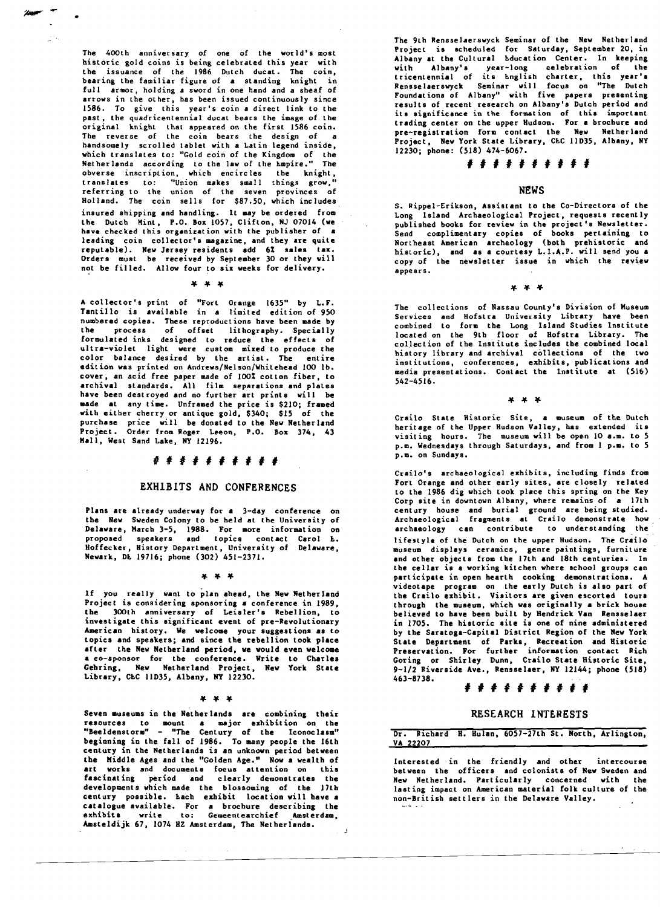The 400th anniversary of one of the world's most historic gold coins is being celebrated this year with the issuance of the 1986 Dutch ducat. The coin, bearing the familiar figure of a standing knight in full armor, holding a sword in one hand and a sheaf of arrows in the other, has been issued continuously since 1586. To give this year's coin a direct link to the past, the quadricentennial ducat bears the image of the original knight that appeared on the first 1586 coin. The reverse of the coin bears the design of a handsomely scrolled tablet with a Latin legend inside, which translates to: "Gold coin of the Kingdom of the Netherlands according to the law of the Empire." The obverse inscription, which encircles the knight, translates to: "Union makes small things grow," referring to the union of the seven provinces of Holland. The coin sells for \$87.50, which includes insured shipping and handling. It may be ordered from the Dutch Mint, P.O. Box 1057, Clifton, NJ 07014 (we<br>have checked this organization with the publisher of a have checked this organization with the publisher of leading coin collector's magazine, and they are quite reputable). New Jersey residents add 6% sales tax. Orders must be received by September 30 or they will not be filled. Allow four to six weeks for delivery.

•

 $* * *$ 

A collector's print of "Fort Orange 1635" by L.F. Tantillo is available in a limited edition of 950 numbered copies. These reproductions hsve been made by the process of offset lithography. Specially formulated inks designed to reduce the effects of ultra-violet light were custom mixed to produce the color balance desired by the artist. The entire edition was printed on Andrews/Nelson/Whitehead 100 lb. cover, an acid free paper made of 100% cotton fiber, to archival standards. All film separations and plates have been destroyed and no further art prints will be made at any time. Unframed the price is \$210; framed witb either cherry or antique gold, \$340; \$15 of the purchase price will be donated to the New Netherland Project. Order from Roger Leeon, P.O. Box 374, 43 Mall, West Sand Lake, NY 12196.

## *<sup>I</sup>*# *1##* # # # # #

#### EXHIBITS AND CONFERENCES

Plans are already undervay for a 3-day conference on tbe Nev Sweden Colony to be held at the University of Delavare, March 3-5, 1988. For more information 00 proposed speakers and topics contact Carol <mark>E.</mark> Hoffecker, History Department, University of Delaware, Newark, Dt. 19716; phone (302) *451-2371.* 

#### $* * *$

If you really vant to plan ahead, the New Netherland Project is considering sponsoring a conference in 1989, tbe 300th anniversary of Leisler's Rebellion, to investigate this significant event of pre-Revolutionary American history. We welcome your suggestions as to topics and speakers; and since the rebellion took place after the New Netberland period, we would even welcome a co-sponsor for tbe conference. Write to Charles Gehring, Nev Netberland Project, New York State Library, CbC 11D35, Albany, NY 12230.

#### \* \* \*

Seven museums in the Netherlands are combining their resources to mount a major exhibition on the "Beeldenstorm" - "The Century of the Iconoclasm" "Beeldenstorm" - "The Century of the Iconoclasm" beginning in the fall of 1986. To many people the 16th century in the Netberlands is an unknown period betweeo tbe Middle Ages and the "Golden Age." Nova wealth of art vorks and documents focus attention on this fascinating period and clearly demonstrates the developments which made the blossoming of the 17th<br>century possible. Lach exhibit location will have a<br>catalogue available. For a brochure describing the<br>exhibits write to: Gemeentearchief Amsterdam, Amsteldijk 67, 1074 HZ Amsterdam, The Netheriands. .J The 9th Rensaelaerswyck Seminar of the New Netherland Project is scheduled for Saturday, September 20, in Albany at the Cultural Education Center. In keeping with Albany's year-long celebration of the<br>tricentennial of its bnglish charter, this year's Rensselaerswyck Seminar will focus on "The Dutch Foundationa of Albany" with five papers presenting results of recent research on Albany's Dutch period and its significance in the formation of tbia important trading center on the upper Hudson. For a brochure and pre-registration form contact the New Netherland Project, New York State Library, CEC 11D35, Albany, NY 12230; phone: (518) 474-6067.

## # # # # # # # # # #

## NEWS

S. Rippel-Erikson, Assistant to the Co-Directors of the Long Island Archaeological Project, requests recently published books for review in the project's Newsletter. Send complimentary copies of books pertaining to Northeast American archeology (both prehistoric and historic), and as a courtesy L.I.A.P. will send you a copy of the newsletter issue in which the review appears.

#### \* \* \*

The collections of Nassau County's Division of Museum Services and Hofstra University Library have been combined to form the Long Island Studies Institute located on the 9th floor of Hofstra Library. The collection of the Institute includes the combined local history library and archival collections of the two institutions, conferences, exhibits, publications and media presentations. Contact the Institute at (516) 542-4516.

#### $x \times x$

Crailo Stste Historic Site, a museum of the Dutch heritage of the Upper Hudson Valley, has extended its visiting hours. The museum will be open 10 a.m. to 5 p.m. Wednesdays through Saturdays, and from 1 p.m. to 5 p.m. on Sundays.

Crailo's archaeological exhibits, including finds from Fort Orange and other early sites, are closely related to the 1986 dig which took place this spring on the Key Corp site in downtown Albany, where remains of a 17th century house and burial ground are being studied. Archaeological fragments at Crailo demonstrate how. archaeology can contribute to understanding the lifestyle of the Dutch on the upper Hudson. The Crailo museum displays ceramics, genre paintings, furniture and other objects from the 17th and 18th centuries. In the cellar is a working kitchen where school groups can participate in open hearth cooking demonstrations. A videotape program on the early Dutch is also part of the Crailo exhibit. Visitors are given escorted tours through the museum, which was originally a brick bouse believed to have been built by Hendrick Van Rensselaer in 1705. The historic site is one of nine administered by the Saratoga-Capital District Region of the New York State Department of Parks, Recreation and Historic Preservation. For furtber information contact Rich Goring or Shirley Dunn, Crailo State Bistoric Site, 9-1/2 Riverside Ave., Rensselaer, NY 12144; phone (518) 463-8738.

## # # # # # # # # # #

### RESEARCH INT£RESTS

### Dr. Richard H. Hulan, 6057-27th St. North, Arlington, VA 22207

Interested in the friendly and otber intercourse between the officers and colonists of New Sweden and New Netherland. Particularly concerned with the lasting impact on American material folk culture of the non-British settlers in the Delaware Valley.